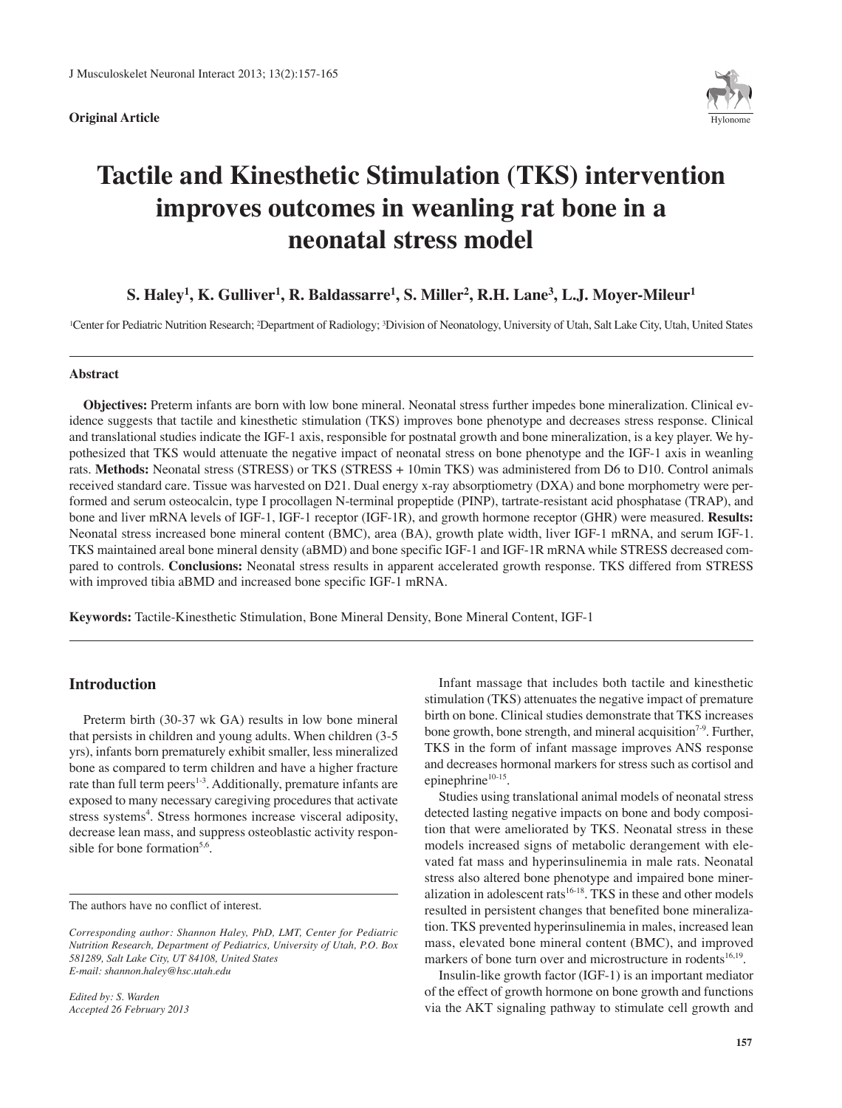**Original Article** 



# **Tactile and Kinesthetic Stimulation (TKS) intervention improves outcomes in weanling rat bone in a neonatal stress model**

## **S. Haley1, K. Gulliver1, R. Baldassarre1, S. Miller2, R.H. Lane3, L.J. Moyer-Mileur1**

1Center for Pediatric Nutrition Research; 2Department of Radiology; 3Division of Neonatology, University of Utah, Salt Lake City, Utah, United States

## **Abstract**

**Objectives:** Preterm infants are born with low bone mineral. Neonatal stress further impedes bone mineralization. Clinical evidence suggests that tactile and kinesthetic stimulation (TKS) improves bone phenotype and decreases stress response. Clinical and translational studies indicate the IGF-1 axis, responsible for postnatal growth and bone mineralization, is a key player. We hypothesized that TKS would attenuate the negative impact of neonatal stress on bone phenotype and the IGF-1 axis in weanling rats. **Methods:** Neonatal stress (STRESS) or TKS (STRESS + 10min TKS) was administered from D6 to D10. Control animals received standard care. Tissue was harvested on D21. Dual energy x-ray absorptiometry (DXA) and bone morphometry were performed and serum osteocalcin, type I procollagen N-terminal propeptide (PINP), tartrate-resistant acid phosphatase (TRAP), and bone and liver mRNA levels of IGF-1, IGF-1 receptor (IGF-1R), and growth hormone receptor (GHR) were measured. **Results:** Neonatal stress increased bone mineral content (BMC), area (BA), growth plate width, liver IGF-1 mRNA, and serum IGF-1. TKS maintained areal bone mineral density (aBMD) and bone specific IGF-1 and IGF-1R mRNA while STRESS decreased compared to controls. **Conclusions:** Neonatal stress results in apparent accelerated growth response. TKS differed from STRESS with improved tibia aBMD and increased bone specific IGF-1 mRNA.

**Keywords:** Tactile-Kinesthetic Stimulation, Bone Mineral Density, Bone Mineral Content, IGF-1

## **Introduction**

Preterm birth (30-37 wk GA) results in low bone mineral that persists in children and young adults. When children (3-5 yrs), infants born prematurely exhibit smaller, less mineralized bone as compared to term children and have a higher fracture rate than full term peers<sup>1-3</sup>. Additionally, premature infants are exposed to many necessary caregiving procedures that activate stress systems 4 . Stress hormones increase visceral adiposity, decrease lean mass, and suppress osteoblastic activity responsible for bone formation<sup>5,6</sup>.

*Edited by: S. Warden Accepted 26 February 2013*

Infant massage that includes both tactile and kinesthetic stimulation (TKS) attenuates the negative impact of premature birth on bone. Clinical studies demonstrate that TKS increases bone growth, bone strength, and mineral acquisition<sup>7-9</sup>. Further, TKS in the form of infant massage improves ANS response and decreases hormonal markers for stress such as cortisol and epinephrine<sup>10-15</sup>.

Studies using translational animal models of neonatal stress detected lasting negative impacts on bone and body composition that were ameliorated by TKS. Neonatal stress in these models increased signs of metabolic derangement with elevated fat mass and hyperinsulinemia in male rats. Neonatal stress also altered bone phenotype and impaired bone mineralization in adolescent rats 16-18 . TKS in these and other models resulted in persistent changes that benefited bone mineralization. TKS prevented hyperinsulinemia in males, increased lean mass, elevated bone mineral content (BMC), and improved markers of bone turn over and microstructure in rodents<sup>16,19</sup>.

Insulin-like growth factor (IGF-1) is an important mediator of the effect of growth hormone on bone growth and functions via the AKT signaling pathway to stimulate cell growth and

The authors have no conflict of interest.

*Corresponding author: Shannon Haley, PhD, LMT, Center for Pediatric Nutrition Research, Department of Pediatrics, University of Utah, P.O. Box 581289, Salt Lake City, UT 84108, United States E-mail: shannon.haley@hsc.utah.edu*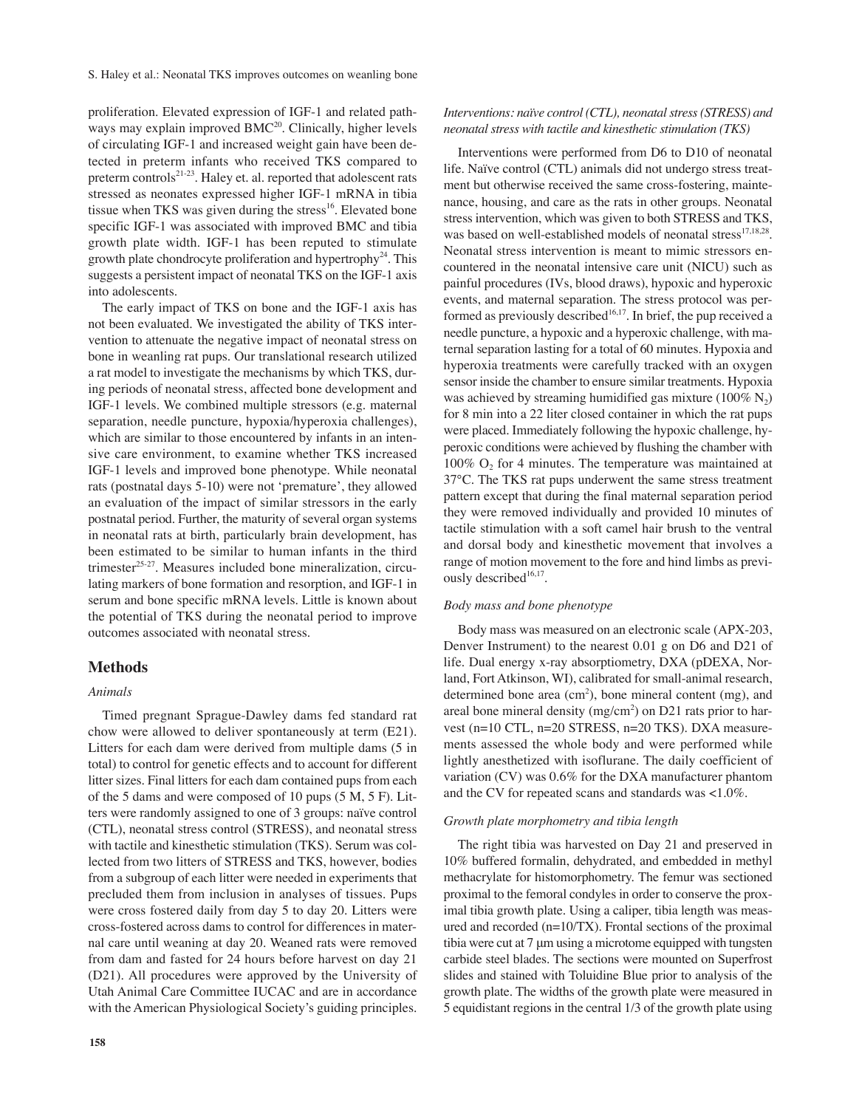proliferation. Elevated expression of IGF-1 and related pathways may explain improved BMC<sup>20</sup>. Clinically, higher levels of circulating IGF-1 and increased weight gain have been detected in preterm infants who received TKS compared to preterm controls<sup>21-23</sup>. Haley et. al. reported that adolescent rats stressed as neonates expressed higher IGF-1 mRNA in tibia tissue when TKS was given during the stress<sup>16</sup>. Elevated bone specific IGF-1 was associated with improved BMC and tibia growth plate width. IGF-1 has been reputed to stimulate growth plate chondrocyte proliferation and hypertrophy<sup>24</sup>. This suggests a persistent impact of neonatal TKS on the IGF-1 axis into adolescents.

The early impact of TKS on bone and the IGF-1 axis has not been evaluated. We investigated the ability of TKS intervention to attenuate the negative impact of neonatal stress on bone in weanling rat pups. Our translational research utilized a rat model to investigate the mechanisms by which TKS, during periods of neonatal stress, affected bone development and IGF-1 levels. We combined multiple stressors (e.g. maternal separation, needle puncture, hypoxia/hyperoxia challenges), which are similar to those encountered by infants in an intensive care environment, to examine whether TKS increased IGF-1 levels and improved bone phenotype. While neonatal rats (postnatal days 5-10) were not 'premature', they allowed an evaluation of the impact of similar stressors in the early postnatal period. Further, the maturity of several organ systems in neonatal rats at birth, particularly brain development, has been estimated to be similar to human infants in the third trimester 25-27 . Measures included bone mineralization, circulating markers of bone formation and resorption, and IGF-1 in serum and bone specific mRNA levels. Little is known about the potential of TKS during the neonatal period to improve outcomes associated with neonatal stress.

## **Methods**

## *Animals*

Timed pregnant Sprague-Dawley dams fed standard rat chow were allowed to deliver spontaneously at term (E21). Litters for each dam were derived from multiple dams (5 in total) to control for genetic effects and to account for different litter sizes. Final litters for each dam contained pups from each of the 5 dams and were composed of 10 pups (5 M, 5 F). Litters were randomly assigned to one of 3 groups: naïve control (CTL), neonatal stress control (STRESS), and neonatal stress with tactile and kinesthetic stimulation (TKS). Serum was collected from two litters of STRESS and TKS, however, bodies from a subgroup of each litter were needed in experiments that precluded them from inclusion in analyses of tissues. Pups were cross fostered daily from day 5 to day 20. Litters were cross-fostered across dams to control for differences in maternal care until weaning at day 20. Weaned rats were removed from dam and fasted for 24 hours before harvest on day 21 (D21). All procedures were approved by the University of Utah Animal Care Committee IUCAC and are in accordance with the American Physiological Society's guiding principles.

Interventions were performed from D6 to D10 of neonatal life. Naïve control (CTL) animals did not undergo stress treatment but otherwise received the same cross-fostering, maintenance, housing, and care as the rats in other groups. Neonatal stress intervention, which was given to both STRESS and TKS, was based on well-established models of neonatal stress<sup>17,18,28</sup>. Neonatal stress intervention is meant to mimic stressors encountered in the neonatal intensive care unit (NICU) such as painful procedures (IVs, blood draws), hypoxic and hyperoxic events, and maternal separation. The stress protocol was performed as previously described<sup>16,17</sup>. In brief, the pup received a needle puncture, a hypoxic and a hyperoxic challenge, with maternal separation lasting for a total of 60 minutes. Hypoxia and hyperoxia treatments were carefully tracked with an oxygen sensor inside the chamber to ensure similar treatments. Hypoxia was achieved by streaming humidified gas mixture (100%  $N_2$ ) for 8 min into a 22 liter closed container in which the rat pups were placed. Immediately following the hypoxic challenge, hyperoxic conditions were achieved by flushing the chamber with  $100\%$  O<sub>2</sub> for 4 minutes. The temperature was maintained at 37°C. The TKS rat pups underwent the same stress treatment pattern except that during the final maternal separation period they were removed individually and provided 10 minutes of tactile stimulation with a soft camel hair brush to the ventral and dorsal body and kinesthetic movement that involves a range of motion movement to the fore and hind limbs as previously described<sup>16,17</sup>.

## *Body mass and bone phenotype*

Body mass was measured on an electronic scale (APX-203, Denver Instrument) to the nearest 0.01 g on D6 and D21 of life. Dual energy x-ray absorptiometry, DXA (pDEXA, Norland, Fort Atkinson, WI), calibrated for small-animal research, determined bone area (cm<sup>2</sup>), bone mineral content (mg), and areal bone mineral density ( $mg/cm<sup>2</sup>$ ) on D21 rats prior to harvest (n=10 CTL, n=20 STRESS, n=20 TKS). DXA measurements assessed the whole body and were performed while lightly anesthetized with isoflurane. The daily coefficient of variation (CV) was 0.6% for the DXA manufacturer phantom and the CV for repeated scans and standards was <1.0%.

#### *Growth plate morphometry and tibia length*

The right tibia was harvested on Day 21 and preserved in 10% buffered formalin, dehydrated, and embedded in methyl methacrylate for histomorphometry. The femur was sectioned proximal to the femoral condyles in order to conserve the proximal tibia growth plate. Using a caliper, tibia length was measured and recorded (n=10/TX). Frontal sections of the proximal tibia were cut at 7 μm using a microtome equipped with tungsten carbide steel blades. The sections were mounted on Superfrost slides and stained with Toluidine Blue prior to analysis of the growth plate. The widths of the growth plate were measured in 5 equidistant regions in the central 1/3 of the growth plate using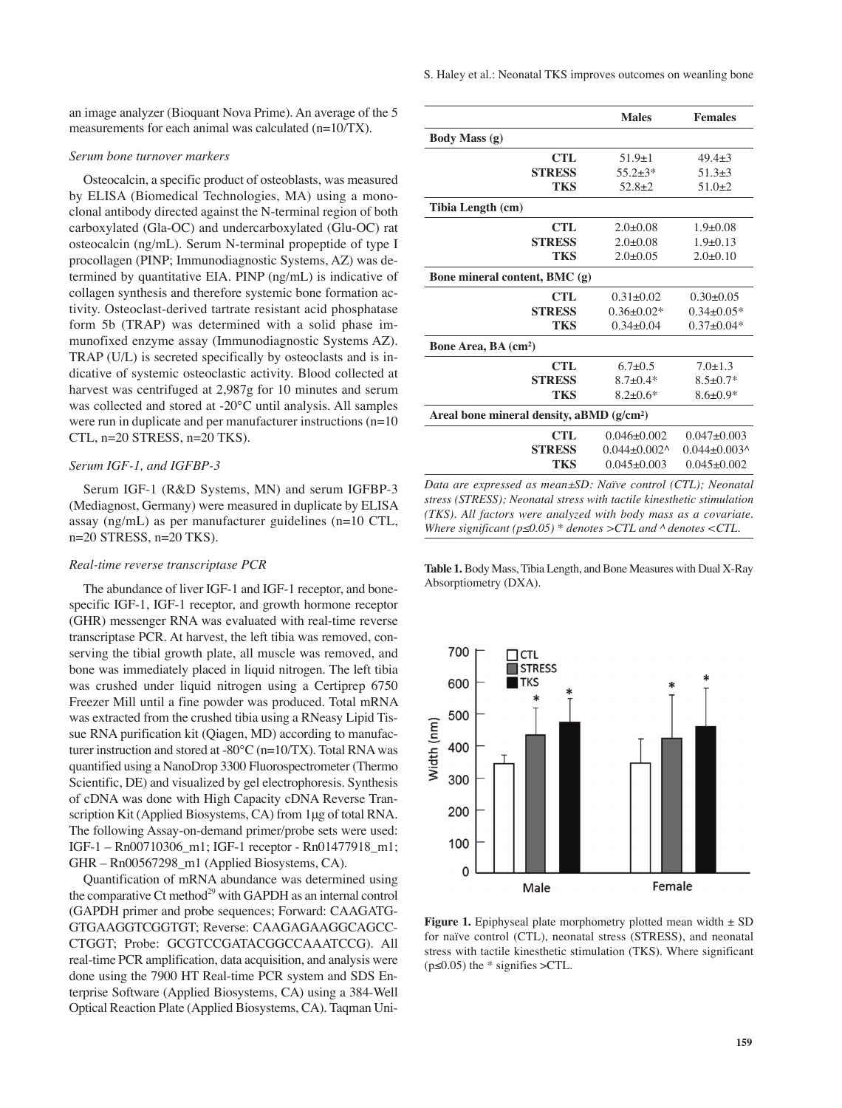an image analyzer (Bioquant Nova Prime). An average of the 5 measurements for each animal was calculated (n=10/TX).

#### *Serum bone turnover markers*

Osteocalcin, a specific product of osteoblasts, was measured by ELISA (Biomedical Technologies, MA) using a monoclonal antibody directed against the N-terminal region of both carboxylated (Gla-OC) and undercarboxylated (Glu-OC) rat osteocalcin (ng/mL). Serum N-terminal propeptide of type I procollagen (PINP; Immunodiagnostic Systems, AZ) was determined by quantitative EIA. PINP (ng/mL) is indicative of collagen synthesis and therefore systemic bone formation activity. Osteoclast-derived tartrate resistant acid phosphatase form 5b (TRAP) was determined with a solid phase immunofixed enzyme assay (Immunodiagnostic Systems AZ). TRAP (U/L) is secreted specifically by osteoclasts and is indicative of systemic osteoclastic activity. Blood collected at harvest was centrifuged at 2,987g for 10 minutes and serum was collected and stored at -20°C until analysis. All samples were run in duplicate and per manufacturer instructions (n=10 CTL, n=20 STRESS, n=20 TKS).

## *Serum IGF-1, and IGFBP-3*

Serum IGF-1 (R&D Systems, MN) and serum IGFBP-3 (Mediagnost, Germany) were measured in duplicate by ELISA assay (ng/mL) as per manufacturer guidelines (n=10 CTL, n=20 STRESS, n=20 TKS).

#### *Real-time reverse transcriptase PCR*

The abundance of liver IGF-1 and IGF-1 receptor, and bonespecific IGF-1, IGF-1 receptor, and growth hormone receptor (GHR) messenger RNA was evaluated with real-time reverse transcriptase PCR. At harvest, the left tibia was removed, conserving the tibial growth plate, all muscle was removed, and bone was immediately placed in liquid nitrogen. The left tibia was crushed under liquid nitrogen using a Certiprep 6750 Freezer Mill until a fine powder was produced. Total mRNA was extracted from the crushed tibia using a RNeasy Lipid Tissue RNA purification kit (Qiagen, MD) according to manufacturer instruction and stored at -80°C (n=10/TX). Total RNAwas quantified using a NanoDrop 3300 Fluorospectrometer (Thermo Scientific, DE) and visualized by gel electrophoresis. Synthesis of cDNA was done with High Capacity cDNA Reverse Transcription Kit (Applied Biosystems, CA) from 1μg of total RNA. The following Assay-on-demand primer/probe sets were used: IGF-1 – Rn00710306\_m1; IGF-1 receptor - Rn01477918\_m1; GHR – Rn00567298\_m1 (Applied Biosystems, CA).

Quantification of mRNA abundance was determined using the comparative Ct method<sup>29</sup> with GAPDH as an internal control (GAPDH primer and probe sequences; Forward: CAAGATG-GTGAAGGTCGGTGT; Reverse: CAAGAGAAGGCAGCC-CTGGT; Probe: GCGTCCGATACGGCCAAATCCG). All real-time PCR amplification, data acquisition, and analysis were done using the 7900 HT Real-time PCR system and SDS Enterprise Software (Applied Biosystems, CA) using a 384-Well Optical Reaction Plate (Applied Biosystems, CA). Taqman Uni-

|                                            | <b>Males</b>        | <b>Females</b>      |  |  |  |  |
|--------------------------------------------|---------------------|---------------------|--|--|--|--|
| <b>Body Mass (g)</b>                       |                     |                     |  |  |  |  |
| <b>CTL</b>                                 | $51.9 \pm 1$        | $49.4 + 3$          |  |  |  |  |
| <b>STRESS</b>                              | $55.2 \pm 3*$       | $51.3+3$            |  |  |  |  |
| TKS                                        | $52.8 \pm 2$        | $51.0+2$            |  |  |  |  |
| Tibia Length (cm)                          |                     |                     |  |  |  |  |
| <b>CTL</b>                                 | $2.0+0.08$          | $1.9+0.08$          |  |  |  |  |
| <b>STRESS</b>                              | $2.0+0.08$          | $1.9+0.13$          |  |  |  |  |
| TKS                                        | $2.0+0.05$          | $2.0+0.10$          |  |  |  |  |
| Bone mineral content, BMC (g)              |                     |                     |  |  |  |  |
| <b>CTL</b>                                 | $0.31 \pm 0.02$     | $0.30+0.05$         |  |  |  |  |
| <b>STRESS</b>                              | $0.36 + 0.02*$      | $0.34\pm0.05*$      |  |  |  |  |
| TKS                                        | $0.34 + 0.04$       | $0.37 \pm 0.04*$    |  |  |  |  |
| <b>Bone Area, BA (cm<sup>2</sup>)</b>      |                     |                     |  |  |  |  |
| <b>CTL</b>                                 | $6.7+0.5$           | $7.0 + 1.3$         |  |  |  |  |
| <b>STRESS</b>                              | $8.7 + 0.4*$        | $8.5 \pm 0.7*$      |  |  |  |  |
| TKS                                        | $8.2 \pm 0.6*$      | $8.6 \pm 0.9*$      |  |  |  |  |
| Areal bone mineral density, aBMD $(g/cm2)$ |                     |                     |  |  |  |  |
| <b>CTL</b>                                 | $0.046 \pm 0.002$   | $0.047 + 0.003$     |  |  |  |  |
| <b>STRESS</b>                              | $0.044 \pm 0.002$ ^ | $0.044 \pm 0.003$ ^ |  |  |  |  |
| TKS                                        | $0.045+0.003$       | $0.045 + 0.002$     |  |  |  |  |
|                                            |                     |                     |  |  |  |  |

*Data are expressed as mean±SD: Naïve control (CTL); Neonatal stress (STRESS); Neonatal stress with tactile kinesthetic stimulation (TKS). All factors were analyzed with body mass as a covariate. Where significant (p≤0.05) \* denotes >CTL and ^ denotes <CTL.*

Table 1. Body Mass, Tibia Length, and Bone Measures with Dual X-Ray Absorptiometry (DXA).



**Figure 1.** Epiphyseal plate morphometry plotted mean width  $\pm$  SD for naïve control (CTL), neonatal stress (STRESS), and neonatal stress with tactile kinesthetic stimulation (TKS). Where significant ( $p \le 0.05$ ) the \* signifies >CTL.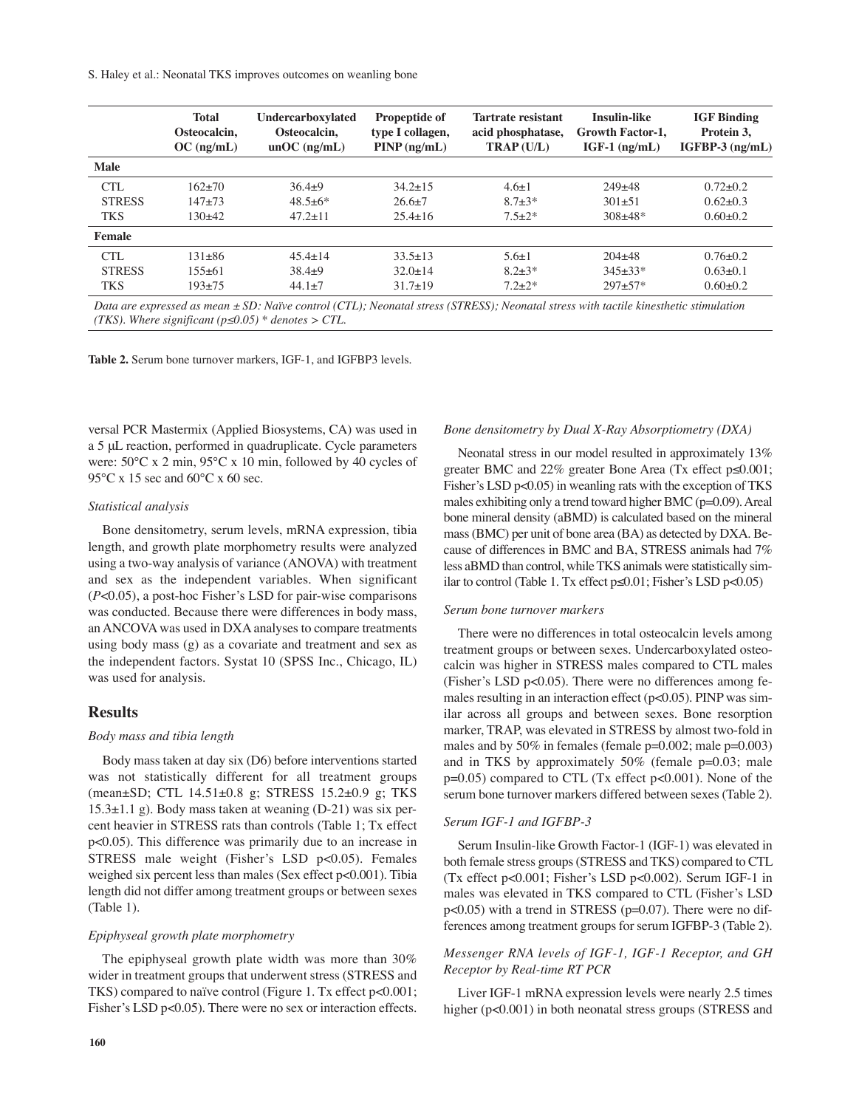S. Haley et al.: Neonatal TKS improves outcomes on weanling bone

|               | <b>Total</b> | Undercarboxylated | <b>Propeptide of</b>                       | <b>Tartrate resistant</b> | <b>Insulin-like</b>     | <b>IGF Binding</b> |
|---------------|--------------|-------------------|--------------------------------------------|---------------------------|-------------------------|--------------------|
|               | Osteocalcin. | Osteocalcin.      | type I collagen,                           | acid phosphatase,         | <b>Growth Factor-1.</b> | Protein 3.         |
|               | $OC$ (ng/mL) | $unOC$ (ng/mL)    | $\text{PINP} \left( \frac{nq}{mL} \right)$ | $TRAP (U/L)$              | $IGF-1$ (ng/mL)         | $IGFBP-3$ (ng/mL)  |
| <b>Male</b>   |              |                   |                                            |                           |                         |                    |
| CTL           | $162+70$     | $36.4+9$          | $34.2 \pm 15$                              | $4.6 \pm 1$               | $249+48$                | $0.72 + 0.2$       |
| <b>STRESS</b> | $147 + 73$   | $48.5 \pm 6^*$    | $26.6+7$                                   | $8.7 + 3*$                | $301 + 51$              | $0.62+0.3$         |
| <b>TKS</b>    | 130+42       | $47.2 \pm 11$     | $25.4 \pm 16$                              | $7.5+2*$                  | $308 + 48*$             | $0.60 \pm 0.2$     |
| Female        |              |                   |                                            |                           |                         |                    |
| CTL           | $131 + 86$   | $45.4 + 14$       | $33.5 \pm 13$                              | $5.6 \pm 1$               | $204 + 48$              | $0.76 \pm 0.2$     |
| <b>STRESS</b> | $155+61$     | $38.4+9$          | $32.0 \pm 14$                              | $8.2 + 3*$                | $345+33*$               | $0.63+0.1$         |
| <b>TKS</b>    | $193+75$     | $44.1 \pm 7$      | $31.7 \pm 19$                              | $7.2 + 2*$                | $297 + 57*$             | $0.60 \pm 0.2$     |

Data are expressed as mean  $\pm$  SD: Naïve control (CTL); Neonatal stress (STRESS); Neonatal stress with tactile kinesthetic stimulation *(TKS). Where significant (p≤0.05) \* denotes > CTL.*

**Table 2.** Serum bone turnover markers, IGF-1, and IGFBP3 levels.

versal PCR Mastermix (Applied Biosystems, CA) was used in a 5 μL reaction, performed in quadruplicate. Cycle parameters were: 50°C x 2 min, 95°C x 10 min, followed by 40 cycles of 95°C x 15 sec and 60°C x 60 sec.

#### *Statistical analysis*

Bone densitometry, serum levels, mRNA expression, tibia length, and growth plate morphometry results were analyzed using a two-way analysis of variance (ANOVA) with treatment and sex as the independent variables. When significant (*P*<0.05), a post-hoc Fisher's LSD for pair-wise comparisons was conducted. Because there were differences in body mass, an ANCOVA was used in DXA analyses to compare treatments using body mass (g) as a covariate and treatment and sex as the independent factors. Systat 10 (SPSS Inc., Chicago, IL) was used for analysis.

## **Results**

#### *Body mass and tibia length*

Body mass taken at day six (D6) before interventions started was not statistically different for all treatment groups (mean±SD; CTL 14.51±0.8 g; STRESS 15.2±0.9 g; TKS 15.3±1.1 g). Body mass taken at weaning (D-21) was six percent heavier in STRESS rats than controls (Table 1; Tx effect p<0.05). This difference was primarily due to an increase in STRESS male weight (Fisher's LSD p<0.05). Females weighed six percent less than males (Sex effect p<0.001). Tibia length did not differ among treatment groups or between sexes (Table 1).

#### *Epiphyseal growth plate morphometry*

The epiphyseal growth plate width was more than 30% wider in treatment groups that underwent stress (STRESS and TKS) compared to naïve control (Figure 1. Tx effect p<0.001; Fisher's LSD p<0.05). There were no sex or interaction effects.

#### *Bone densitometry by Dual X-Ray Absorptiometry (DXA)*

Neonatal stress in our model resulted in approximately 13% greater BMC and 22% greater Bone Area (Tx effect p≤0.001; Fisher's LSD p<0.05) in weanling rats with the exception of TKS males exhibiting only a trend toward higher BMC ( $p=0.09$ ). Areal bone mineral density (aBMD) is calculated based on the mineral mass(BMC) per unit of bone area (BA) as detected by DXA. Because of differences in BMC and BA, STRESS animals had 7% less aBMD than control, while TKS animals were statistically similar to control (Table 1. Tx effect p≤0.01; Fisher's LSD p<0.05)

#### *Serum bone turnover markers*

There were no differences in total osteocalcin levels among treatment groups or between sexes. Undercarboxylated osteocalcin was higher in STRESS males compared to CTL males (Fisher's LSD p<0.05). There were no differences among females resulting in an interaction effect (p<0.05). PINP was similar across all groups and between sexes. Bone resorption marker, TRAP, was elevated in STRESS by almost two-fold in males and by  $50\%$  in females (female  $p=0.002$ ; male  $p=0.003$ ) and in TKS by approximately  $50\%$  (female  $p=0.03$ ; male p=0.05) compared to CTL (Tx effect p<0.001). None of the serum bone turnover markers differed between sexes (Table 2).

#### *Serum IGF-1 and IGFBP-3*

Serum Insulin-like Growth Factor-1 (IGF-1) was elevated in both female stress groups(STRESS and TKS) compared to CTL (Tx effect p<0.001; Fisher's LSD p<0.002). Serum IGF-1 in males was elevated in TKS compared to CTL (Fisher's LSD  $p<0.05$ ) with a trend in STRESS ( $p=0.07$ ). There were no differences among treatment groups for serum IGFBP-3 (Table 2).

## *Messenger RNA levels of IGF-1, IGF-1 Receptor, and GH Receptor by Real-time RT PCR*

Liver IGF-1 mRNA expression levels were nearly 2.5 times higher (p<0.001) in both neonatal stress groups (STRESS and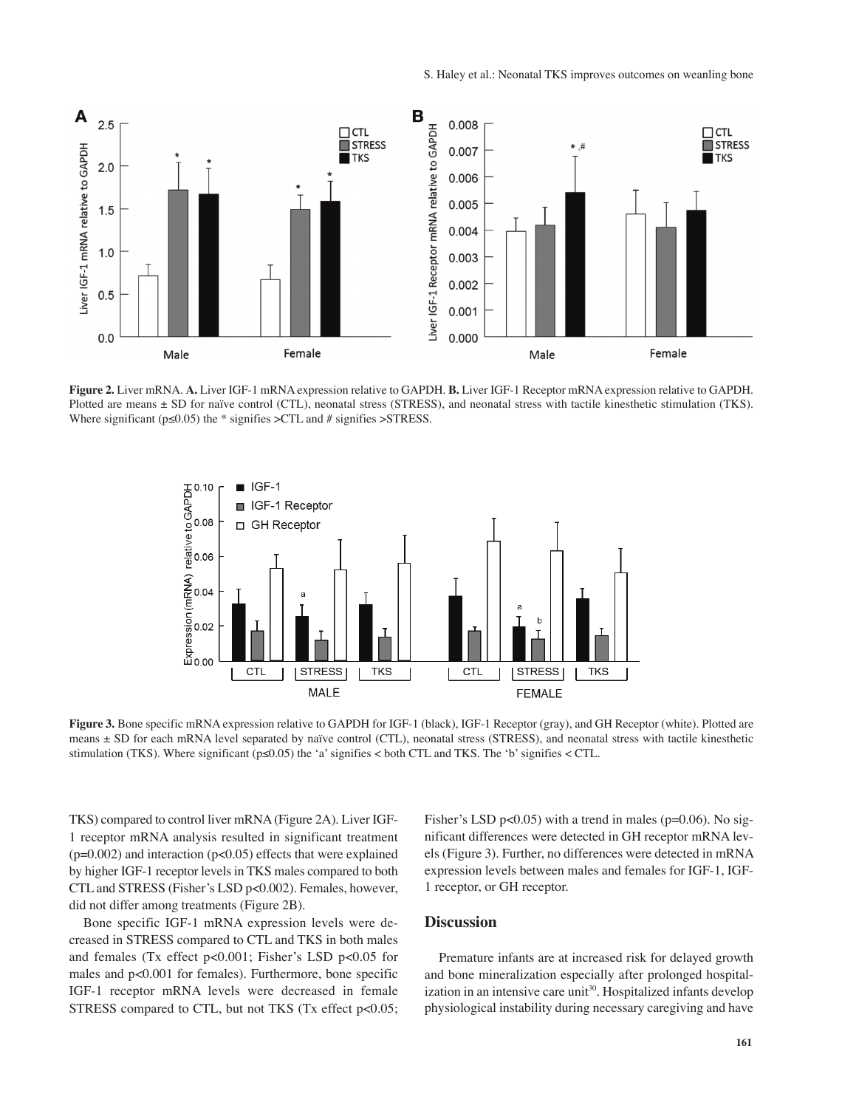

**Figure 2.** Liver mRNA. **A.** Liver IGF-1 mRNA expression relative to GAPDH. **B.** Liver IGF-1 Receptor mRNA expression relative to GAPDH. Plotted are means  $\pm$  SD for naïve control (CTL), neonatal stress (STRESS), and neonatal stress with tactile kinesthetic stimulation (TKS). Where significant ( $p \le 0.05$ ) the \* signifies >CTL and # signifies >STRESS.



**Figure 3.** Bone specific mRNA expression relative to GAPDH for IGF-1 (black), IGF-1 Receptor (gray), and GH Receptor (white). Plotted are means ± SD for each mRNA level separated by naïve control (CTL), neonatal stress (STRESS), and neonatal stress with tactile kinesthetic stimulation (TKS). Where significant ( $p \le 0.05$ ) the 'a' signifies < both CTL and TKS. The 'b' signifies < CTL.

TKS) compared to control liver mRNA(Figure 2A). Liver IGF-1 receptor mRNA analysis resulted in significant treatment ( $p=0.002$ ) and interaction ( $p<0.05$ ) effects that were explained by higher IGF-1 receptor levels in TKS males compared to both CTL and STRESS (Fisher's LSD p<0.002). Females, however, did not differ among treatments (Figure 2B).

Bone specific IGF-1 mRNA expression levels were decreased in STRESS compared to CTL and TKS in both males and females (Tx effect p<0.001; Fisher's LSD p<0.05 for males and p<0.001 for females). Furthermore, bone specific IGF-1 receptor mRNA levels were decreased in female STRESS compared to CTL, but not TKS (Tx effect p<0.05; Fisher's LSD p<0.05) with a trend in males ( $p=0.06$ ). No significant differences were detected in GH receptor mRNA levels (Figure 3). Further, no differences were detected in mRNA expression levels between males and females for IGF-1, IGF-1 receptor, or GH receptor.

## **Discussion**

Premature infants are at increased risk for delayed growth and bone mineralization especially after prolonged hospitalization in an intensive care unit<sup>30</sup>. Hospitalized infants develop physiological instability during necessary caregiving and have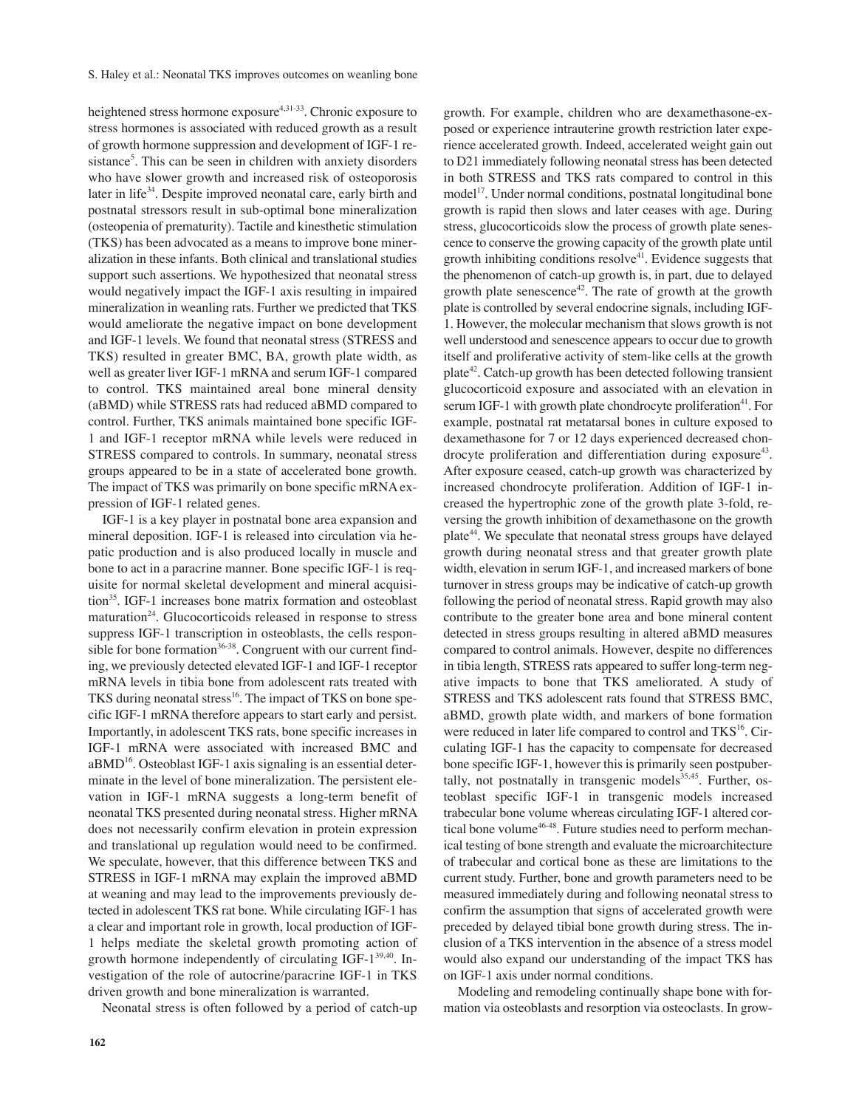heightened stress hormone exposure<sup>4,31-33</sup>. Chronic exposure to stress hormones is associated with reduced growth as a result of growth hormone suppression and development of IGF-1 resistance<sup>5</sup>. This can be seen in children with anxiety disorders who have slower growth and increased risk of osteoporosis later in life<sup>34</sup>. Despite improved neonatal care, early birth and postnatal stressors result in sub-optimal bone mineralization (osteopenia of prematurity). Tactile and kinesthetic stimulation (TKS) has been advocated as a means to improve bone mineralization in these infants. Both clinical and translational studies support such assertions. We hypothesized that neonatal stress would negatively impact the IGF-1 axis resulting in impaired mineralization in weanling rats. Further we predicted that TKS would ameliorate the negative impact on bone development and IGF-1 levels. We found that neonatal stress (STRESS and TKS) resulted in greater BMC, BA, growth plate width, as well as greater liver IGF-1 mRNA and serum IGF-1 compared to control. TKS maintained areal bone mineral density (aBMD) while STRESS rats had reduced aBMD compared to control. Further, TKS animals maintained bone specific IGF-1 and IGF-1 receptor mRNA while levels were reduced in STRESS compared to controls. In summary, neonatal stress groups appeared to be in a state of accelerated bone growth. The impact of TKS was primarily on bone specific mRNA expression of IGF-1 related genes.

IGF-1 is a key player in postnatal bone area expansion and mineral deposition. IGF-1 is released into circulation via hepatic production and is also produced locally in muscle and bone to act in a paracrine manner. Bone specific IGF-1 is requisite for normal skeletal development and mineral acquisition<sup>35</sup>. IGF-1 increases bone matrix formation and osteoblast maturation<sup>24</sup>. Glucocorticoids released in response to stress suppress IGF-1 transcription in osteoblasts, the cells responsible for bone formation<sup>36-38</sup>. Congruent with our current finding, we previously detected elevated IGF-1 and IGF-1 receptor mRNA levels in tibia bone from adolescent rats treated with TKS during neonatal stress<sup>16</sup>. The impact of TKS on bone specific IGF-1 mRNA therefore appears to start early and persist. Importantly, in adolescent TKS rats, bone specific increases in IGF-1 mRNA were associated with increased BMC and  $aBMD^{16}$ . Osteoblast IGF-1 axis signaling is an essential determinate in the level of bone mineralization. The persistent elevation in IGF-1 mRNA suggests a long-term benefit of neonatal TKS presented during neonatal stress. Higher mRNA does not necessarily confirm elevation in protein expression and translational up regulation would need to be confirmed. We speculate, however, that this difference between TKS and STRESS in IGF-1 mRNA may explain the improved aBMD at weaning and may lead to the improvements previously detected in adolescent TKS rat bone. While circulating IGF-1 has a clear and important role in growth, local production of IGF-1 helps mediate the skeletal growth promoting action of growth hormone independently of circulating IGF-1<sup>39,40</sup>. Investigation of the role of autocrine/paracrine IGF-1 in TKS driven growth and bone mineralization is warranted.

Neonatal stress is often followed by a period of catch-up

growth. For example, children who are dexamethasone-exposed or experience intrauterine growth restriction later experience accelerated growth. Indeed, accelerated weight gain out to D21 immediately following neonatal stress has been detected in both STRESS and TKS rats compared to control in this model 17 . Under normal conditions, postnatal longitudinal bone growth is rapid then slows and later ceases with age. During stress, glucocorticoids slow the process of growth plate senescence to conserve the growing capacity of the growth plate until growth inhibiting conditions resolve $4$ <sup>1</sup>. Evidence suggests that the phenomenon of catch-up growth is, in part, due to delayed growth plate senescence<sup>42</sup>. The rate of growth at the growth plate is controlled by several endocrine signals, including IGF-1. However, the molecular mechanism that slows growth is not well understood and senescence appears to occur due to growth itself and proliferative activity of stem-like cells at the growth plate<sup>42</sup>. Catch-up growth has been detected following transient glucocorticoid exposure and associated with an elevation in serum IGF-1 with growth plate chondrocyte proliferation<sup>41</sup>. For example, postnatal rat metatarsal bones in culture exposed to dexamethasone for 7 or 12 days experienced decreased chondrocyte proliferation and differentiation during exposure<sup>43</sup>. After exposure ceased, catch-up growth was characterized by increased chondrocyte proliferation. Addition of IGF-1 increased the hypertrophic zone of the growth plate 3-fold, reversing the growth inhibition of dexamethasone on the growth plate<sup>44</sup>. We speculate that neonatal stress groups have delayed growth during neonatal stress and that greater growth plate width, elevation in serum IGF-1, and increased markers of bone turnover in stress groups may be indicative of catch-up growth following the period of neonatal stress. Rapid growth may also contribute to the greater bone area and bone mineral content detected in stress groups resulting in altered aBMD measures compared to control animals. However, despite no differences in tibia length, STRESS rats appeared to suffer long-term negative impacts to bone that TKS ameliorated. A study of STRESS and TKS adolescent rats found that STRESS BMC, aBMD, growth plate width, and markers of bone formation were reduced in later life compared to control and TKS<sup>16</sup>. Circulating IGF-1 has the capacity to compensate for decreased bone specific IGF-1, however this is primarily seen postpubertally, not postnatally in transgenic models<sup>35,45</sup>. Further, osteoblast specific IGF-1 in transgenic models increased trabecular bone volume whereas circulating IGF-1 altered cortical bone volume<sup>46-48</sup>. Future studies need to perform mechanical testing of bone strength and evaluate the microarchitecture of trabecular and cortical bone as these are limitations to the current study. Further, bone and growth parameters need to be measured immediately during and following neonatal stress to confirm the assumption that signs of accelerated growth were preceded by delayed tibial bone growth during stress. The inclusion of a TKS intervention in the absence of a stress model would also expand our understanding of the impact TKS has on IGF-1 axis under normal conditions.

Modeling and remodeling continually shape bone with formation via osteoblasts and resorption via osteoclasts. In grow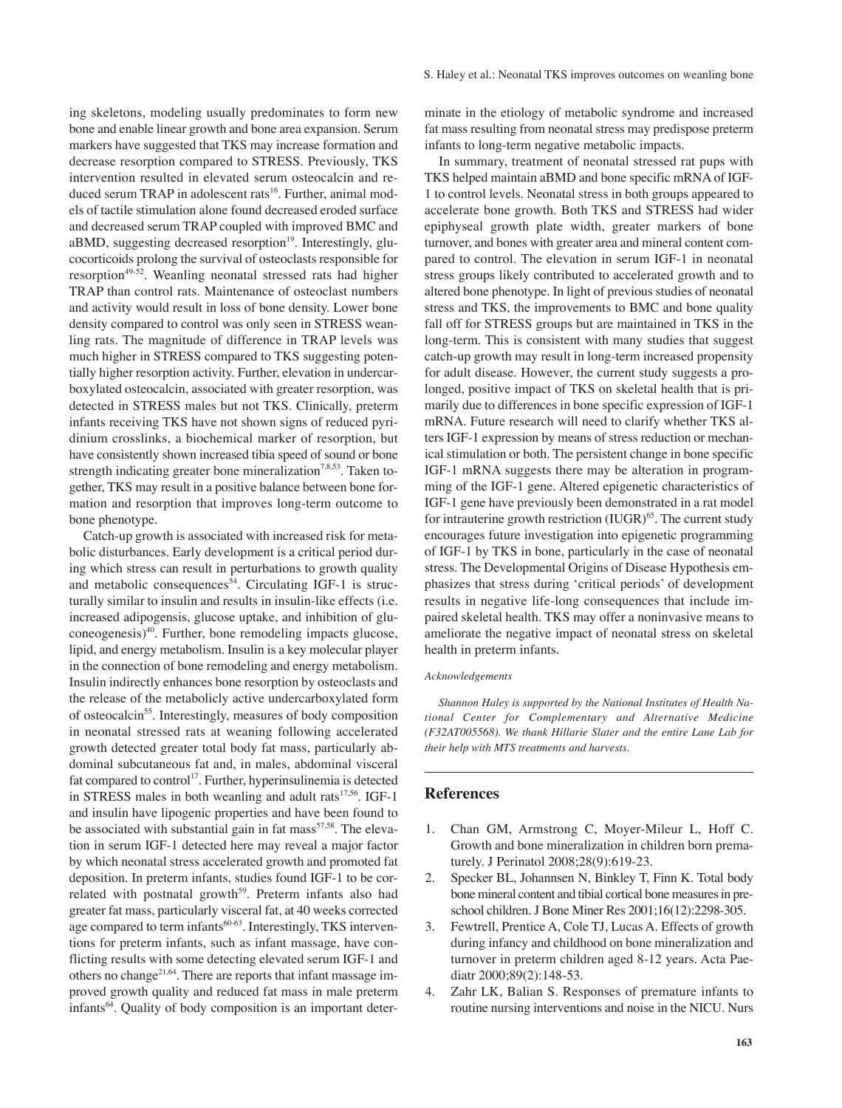ing skeletons, modeling usually predominates to form new bone and enable linear growth and bone area expansion. Serum markers have suggested that TKS may increase formation and decrease resorption compared to STRESS. Previously, TKS intervention resulted in elevated serum osteocalcin and reduced serum TRAP in adolescent rats 16 . Further, animal models of tactile stimulation alone found decreased eroded surface and decreased serum TRAP coupled with improved BMC and aBMD, suggesting decreased resorption<sup>19</sup>. Interestingly, glucocorticoids prolong the survival of osteoclasts responsible for resorption<sup>49-52</sup>. Weanling neonatal stressed rats had higher TRAP than control rats. Maintenance of osteoclast numbers and activity would result in loss of bone density. Lower bone density compared to control was only seen in STRESS weanling rats. The magnitude of difference in TRAP levels was much higher in STRESS compared to TKS suggesting potentially higher resorption activity. Further, elevation in undercarboxylated osteocalcin, associated with greater resorption, was detected in STRESS males but not TKS. Clinically, preterm infants receiving TKS have not shown signs of reduced pyridinium crosslinks, a biochemical marker of resorption, but have consistently shown increased tibia speed of sound or bone strength indicating greater bone mineralization<sup>7,8,53</sup>. Taken together, TKS may result in a positive balance between bone formation and resorption that improves long-term outcome to bone phenotype.

Catch-up growth is associated with increased risk for metabolic disturbances. Early development is a critical period during which stress can result in perturbations to growth quality and metabolic consequences<sup>54</sup>. Circulating IGF-1 is structurally similar to insulin and results in insulin-like effects (i.e. increased adipogensis, glucose uptake, and inhibition of gluconeogenesis) 40 . Further, bone remodeling impacts glucose, lipid, and energy metabolism. Insulin is a key molecular player in the connection of bone remodeling and energy metabolism. Insulin indirectly enhances bone resorption by osteoclasts and the release of the metabolicly active undercarboxylated form of osteocalcin<sup>55</sup>. Interestingly, measures of body composition in neonatal stressed rats at weaning following accelerated growth detected greater total body fat mass, particularly abdominal subcutaneous fat and, in males, abdominal visceral fat compared to control<sup>17</sup>. Further, hyperinsulinemia is detected in STRESS males in both weanling and adult rats<sup>17,56</sup>. IGF-1 and insulin have lipogenic properties and have been found to be associated with substantial gain in fat mass<sup>57,58</sup>. The elevation in serum IGF-1 detected here may reveal a major factor by which neonatal stress accelerated growth and promoted fat deposition. In preterm infants, studies found IGF-1 to be correlated with postnatal growth<sup>59</sup>. Preterm infants also had greater fat mass, particularly visceral fat, at 40 weeks corrected age compared to term infants<sup>60-63</sup>. Interestingly, TKS interventions for preterm infants, such as infant massage, have conflicting results with some detecting elevated serum IGF-1 and others no change<sup>21,64</sup>. There are reports that infant massage improved growth quality and reduced fat mass in male preterm infants 64 . Quality of body composition is an important determinate in the etiology of metabolic syndrome and increased fat mass resulting from neonatal stress may predispose preterm infants to long-term negative metabolic impacts.

In summary, treatment of neonatal stressed rat pups with TKS helped maintain aBMD and bone specific mRNA of IGF-1 to control levels. Neonatal stress in both groups appeared to accelerate bone growth. Both TKS and STRESS had wider epiphyseal growth plate width, greater markers of bone turnover, and bones with greater area and mineral content compared to control. The elevation in serum IGF-1 in neonatal stress groups likely contributed to accelerated growth and to altered bone phenotype. In light of previous studies of neonatal stress and TKS, the improvements to BMC and bone quality fall off for STRESS groups but are maintained in TKS in the long-term. This is consistent with many studies that suggest catch-up growth may result in long-term increased propensity for adult disease. However, the current study suggests a prolonged, positive impact of TKS on skeletal health that is primarily due to differences in bone specific expression of IGF-1 mRNA. Future research will need to clarify whether TKS alters IGF-1 expression by means of stress reduction or mechanical stimulation or both. The persistent change in bone specific IGF-1 mRNA suggests there may be alteration in programming of the IGF-1 gene. Altered epigenetic characteristics of IGF-1 gene have previously been demonstrated in a rat model for intrauterine growth restriction (IUGR)<sup>65</sup>. The current study encourages future investigation into epigenetic programming of IGF-1 by TKS in bone, particularly in the case of neonatal stress. The Developmental Origins of Disease Hypothesis emphasizes that stress during 'critical periods' of development results in negative life-long consequences that include impaired skeletal health. TKS may offer a noninvasive means to ameliorate the negative impact of neonatal stress on skeletal health in preterm infants.

#### *Acknowledgements*

*Shannon Haley is supported by the National Institutes of Health National Center for Complementary and Alternative Medicine (F32AT005568). We thank Hillarie Slater and the entire Lane Lab for their help with MTS treatments and harvests.*

## **References**

- 1. Chan GM, Armstrong C, Moyer-Mileur L, Hoff C. Growth and bone mineralization in children born prematurely. J Perinatol 2008;28(9):619-23.
- 2. Specker BL, Johannsen N, Binkley T, Finn K. Total body bone mineral content and tibial cortical bone measures in preschool children. J Bone Miner Res 2001;16(12):2298-305.
- 3. Fewtrell, Prentice A, Cole TJ, Lucas A. Effects of growth during infancy and childhood on bone mineralization and turnover in preterm children aged 8-12 years. Acta Paediatr 2000;89(2):148-53.
- 4. Zahr LK, Balian S. Responses of premature infants to routine nursing interventions and noise in the NICU. Nurs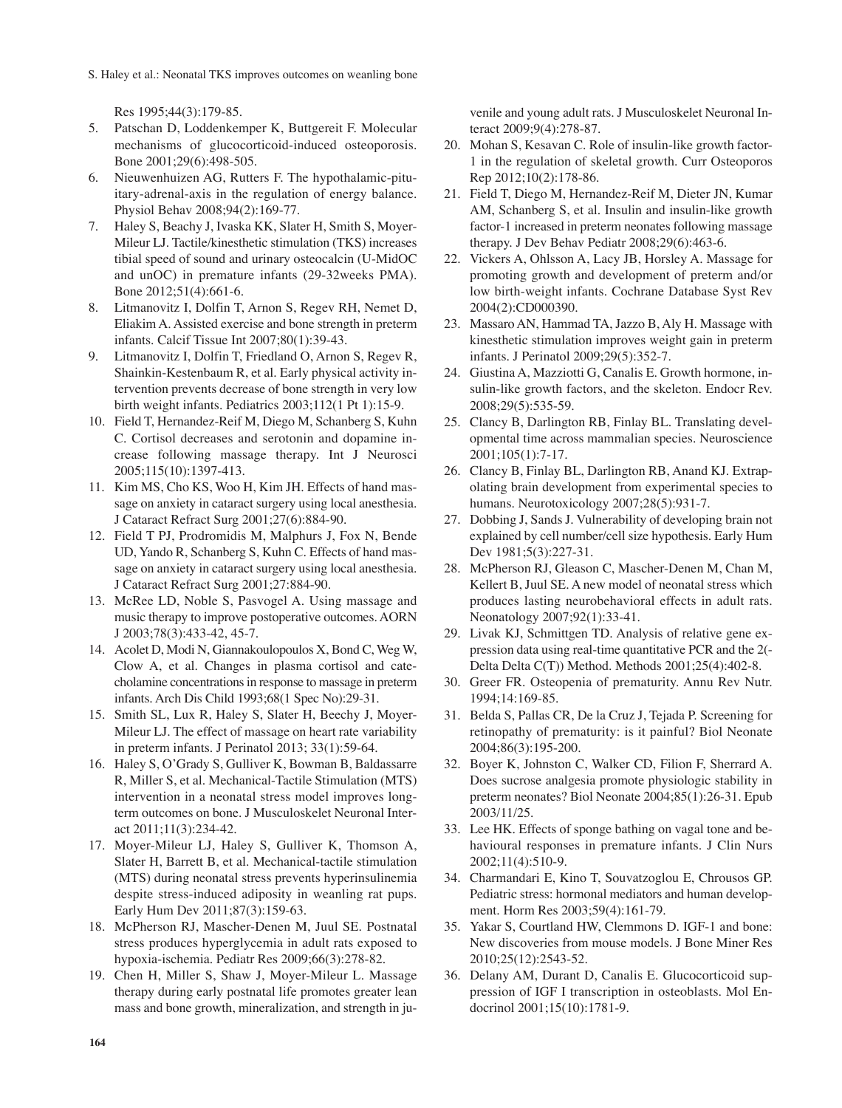S. Haley et al.: Neonatal TKS improves outcomes on weanling bone

Res 1995;44(3):179-85.

- 5. Patschan D, Loddenkemper K, Buttgereit F. Molecular mechanisms of glucocorticoid-induced osteoporosis. Bone 2001;29(6):498-505.
- 6. Nieuwenhuizen AG, Rutters F. The hypothalamic-pituitary-adrenal-axis in the regulation of energy balance. Physiol Behav 2008;94(2):169-77.
- 7. Haley S, Beachy J, Ivaska KK, Slater H, Smith S, Moyer-Mileur LJ. Tactile/kinesthetic stimulation (TKS) increases tibial speed of sound and urinary osteocalcin (U-MidOC and unOC) in premature infants (29-32weeks PMA). Bone 2012;51(4):661-6.
- 8. Litmanovitz I, Dolfin T, Arnon S, Regev RH, Nemet D, EliakimA. Assisted exercise and bone strength in preterm infants. Calcif Tissue Int 2007;80(1):39-43.
- 9. Litmanovitz I, Dolfin T, Friedland O, Arnon S, Regev R, Shainkin-Kestenbaum R, et al. Early physical activity intervention prevents decrease of bone strength in very low birth weight infants. Pediatrics 2003;112(1 Pt 1):15-9.
- 10. Field T, Hernandez-Reif M, Diego M, Schanberg S, Kuhn C. Cortisol decreases and serotonin and dopamine increase following massage therapy. Int J Neurosci 2005;115(10):1397-413.
- 11. Kim MS, Cho KS, Woo H, Kim JH. Effects of hand massage on anxiety in cataract surgery using local anesthesia. J Cataract Refract Surg 2001;27(6):884-90.
- 12. Field T PJ, Prodromidis M, Malphurs J, Fox N, Bende UD, Yando R, Schanberg S, Kuhn C. Effects of hand massage on anxiety in cataract surgery using local anesthesia. J Cataract Refract Surg 2001;27:884-90.
- 13. McRee LD, Noble S, Pasvogel A. Using massage and music therapy to improve postoperative outcomes. AORN J 2003;78(3):433-42, 45-7.
- 14. Acolet D, Modi N, Giannakoulopoulos X, Bond C, Weg W, Clow A, et al. Changes in plasma cortisol and catecholamine concentrations in response to massage in preterm infants. Arch Dis Child 1993;68(1 Spec No):29-31.
- 15. Smith SL, Lux R, Haley S, Slater H, Beechy J, Moyer-Mileur LJ. The effect of massage on heart rate variability in preterm infants. J Perinatol 2013; 33(1):59-64.
- 16. Haley S, O'Grady S, Gulliver K, Bowman B, Baldassarre R, Miller S, et al. Mechanical-Tactile Stimulation (MTS) intervention in a neonatal stress model improves longterm outcomes on bone. J Musculoskelet Neuronal Interact 2011;11(3):234-42.
- 17. Moyer-Mileur LJ, Haley S, Gulliver K, Thomson A, Slater H, Barrett B, et al. Mechanical-tactile stimulation (MTS) during neonatal stress prevents hyperinsulinemia despite stress-induced adiposity in weanling rat pups. Early Hum Dev 2011;87(3):159-63.
- 18. McPherson RJ, Mascher-Denen M, Juul SE. Postnatal stress produces hyperglycemia in adult rats exposed to hypoxia-ischemia. Pediatr Res 2009;66(3):278-82.
- 19. Chen H, Miller S, Shaw J, Moyer-Mileur L. Massage therapy during early postnatal life promotes greater lean mass and bone growth, mineralization, and strength in ju-

venile and young adult rats. J Musculoskelet Neuronal Interact 2009;9(4):278-87.

- 20. Mohan S, Kesavan C. Role of insulin-like growth factor-1 in the regulation of skeletal growth. Curr Osteoporos Rep 2012;10(2):178-86.
- 21. Field T, Diego M, Hernandez-Reif M, Dieter JN, Kumar AM, Schanberg S, et al. Insulin and insulin-like growth factor-1 increased in preterm neonates following massage therapy. J Dev Behav Pediatr 2008;29(6):463-6.
- 22. Vickers A, Ohlsson A, Lacy JB, Horsley A. Massage for promoting growth and development of preterm and/or low birth-weight infants. Cochrane Database Syst Rev 2004(2):CD000390.
- 23. Massaro AN, Hammad TA, Jazzo B, Aly H. Massage with kinesthetic stimulation improves weight gain in preterm infants. J Perinatol 2009;29(5):352-7.
- 24. Giustina A, Mazziotti G, Canalis E. Growth hormone, insulin-like growth factors, and the skeleton. Endocr Rev. 2008;29(5):535-59.
- 25. Clancy B, Darlington RB, Finlay BL. Translating developmental time across mammalian species. Neuroscience 2001;105(1):7-17.
- 26. Clancy B, Finlay BL, Darlington RB, Anand KJ. Extrapolating brain development from experimental species to humans. Neurotoxicology 2007;28(5):931-7.
- 27. Dobbing J, Sands J. Vulnerability of developing brain not explained by cell number/cell size hypothesis. Early Hum Dev 1981;5(3):227-31.
- 28. McPherson RJ, Gleason C, Mascher-Denen M, Chan M, Kellert B, Juul SE. A new model of neonatal stress which produces lasting neurobehavioral effects in adult rats. Neonatology 2007;92(1):33-41.
- 29. Livak KJ, Schmittgen TD. Analysis of relative gene expression data using real-time quantitative PCR and the 2(- Delta Delta C(T)) Method. Methods 2001;25(4):402-8.
- 30. Greer FR. Osteopenia of prematurity. Annu Rev Nutr. 1994;14:169-85.
- 31. Belda S, Pallas CR, De la Cruz J, Tejada P. Screening for retinopathy of prematurity: is it painful? Biol Neonate 2004;86(3):195-200.
- 32. Boyer K, Johnston C, Walker CD, Filion F, Sherrard A. Does sucrose analgesia promote physiologic stability in preterm neonates? Biol Neonate 2004;85(1):26-31. Epub 2003/11/25.
- 33. Lee HK. Effects of sponge bathing on vagal tone and behavioural responses in premature infants. J Clin Nurs 2002;11(4):510-9.
- 34. Charmandari E, Kino T, Souvatzoglou E, Chrousos GP. Pediatric stress: hormonal mediators and human development. Horm Res 2003;59(4):161-79.
- 35. Yakar S, Courtland HW, Clemmons D. IGF-1 and bone: New discoveries from mouse models. J Bone Miner Res 2010;25(12):2543-52.
- 36. Delany AM, Durant D, Canalis E. Glucocorticoid suppression of IGF I transcription in osteoblasts. Mol Endocrinol 2001;15(10):1781-9.